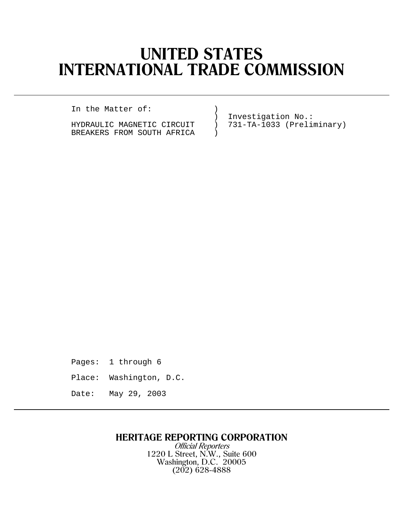# **UNITED STATES INTERNATIONAL TRADE COMMISSION**

In the Matter of: )

BREAKERS FROM SOUTH AFRICA )

) Investigation No.:<br>
) 731-TA-1033 (Preli HYDRAULIC MAGNETIC CIRCUIT ) 731-TA-1033 (Preliminary)

Pages: 1 through 6 Place: Washington, D.C. Date: May 29, 2003

## **HERITAGE REPORTING CORPORATION**

Official Reporters 1220 L Street, N.W., Suite 600 Washington, D.C. 20005 (202) 628-4888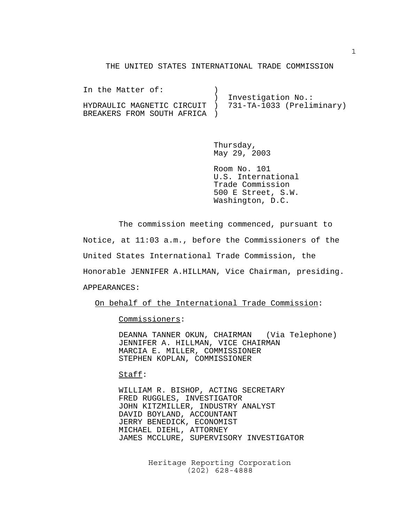#### THE UNITED STATES INTERNATIONAL TRADE COMMISSION

In the Matter of: (1) ) Investigation No.: HYDRAULIC MAGNETIC CIRCUIT ) 731-TA-1033 (Preliminary) BREAKERS FROM SOUTH AFRICA )

> Thursday, May 29, 2003

Room No. 101 U.S. International Trade Commission 500 E Street, S.W. Washington, D.C.

The commission meeting commenced, pursuant to Notice, at 11:03 a.m., before the Commissioners of the United States International Trade Commission, the Honorable JENNIFER A.HILLMAN, Vice Chairman, presiding. APPEARANCES:

On behalf of the International Trade Commission:

Commissioners:

DEANNA TANNER OKUN, CHAIRMAN (Via Telephone) JENNIFER A. HILLMAN, VICE CHAIRMAN MARCIA E. MILLER, COMMISSIONER STEPHEN KOPLAN, COMMISSIONER

Staff:

WILLIAM R. BISHOP, ACTING SECRETARY FRED RUGGLES, INVESTIGATOR JOHN KITZMILLER, INDUSTRY ANALYST DAVID BOYLAND, ACCOUNTANT JERRY BENEDICK, ECONOMIST MICHAEL DIEHL, ATTORNEY JAMES MCCLURE, SUPERVISORY INVESTIGATOR

> Heritage Reporting Corporation (202) 628-4888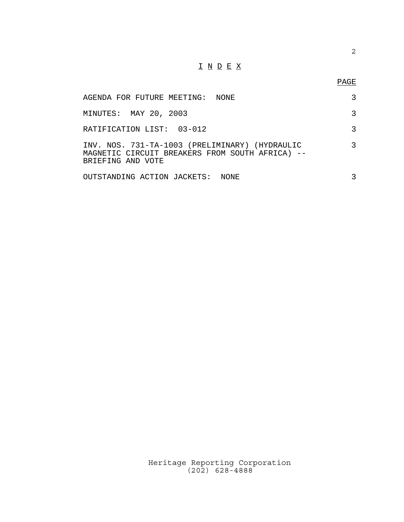### $\underline{\texttt{I}} \ \underline{\texttt{N}} \ \underline{\texttt{D}} \ \underline{\texttt{E}} \ \underline{\texttt{X}}$

| AGENDA FOR FUTURE MEETING: NONE                                                                                        |  |
|------------------------------------------------------------------------------------------------------------------------|--|
| MINUTES: MAY 20, 2003                                                                                                  |  |
| RATIFICATION LIST: 03-012                                                                                              |  |
| INV. NOS. 731-TA-1003 (PRELIMINARY) (HYDRAULIC<br>MAGNETIC CIRCUIT BREAKERS FROM SOUTH AFRICA) --<br>BRIEFING AND VOTE |  |
| OUTSTANDING ACTION JACKETS: NONE                                                                                       |  |

Heritage Reporting Corporation (202) 628-4888

2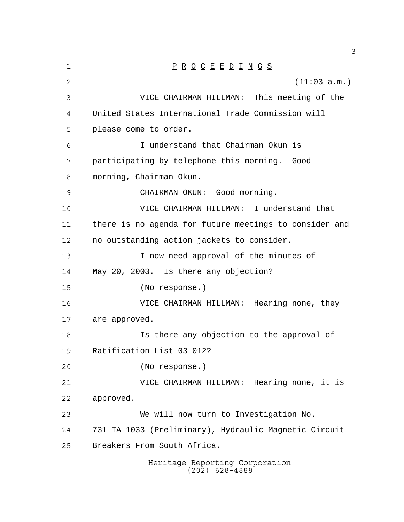| 1              | $\underline{P} \underline{R} \underline{O} \underline{C} \underline{E} \underline{E} \underline{D} \underline{I} \underline{N} \underline{G} \underline{S}$ |
|----------------|-------------------------------------------------------------------------------------------------------------------------------------------------------------|
| $\overline{2}$ | (11:03 a.m.)                                                                                                                                                |
| 3              | VICE CHAIRMAN HILLMAN: This meeting of the                                                                                                                  |
| 4              | United States International Trade Commission will                                                                                                           |
| 5              | please come to order.                                                                                                                                       |
| 6              | I understand that Chairman Okun is                                                                                                                          |
| 7              | participating by telephone this morning. Good                                                                                                               |
| 8              | morning, Chairman Okun.                                                                                                                                     |
| 9              | CHAIRMAN OKUN: Good morning.                                                                                                                                |
| 10             | VICE CHAIRMAN HILLMAN: I understand that                                                                                                                    |
| 11             | there is no agenda for future meetings to consider and                                                                                                      |
| 12             | no outstanding action jackets to consider.                                                                                                                  |
| 13             | I now need approval of the minutes of                                                                                                                       |
| 14             | May 20, 2003. Is there any objection?                                                                                                                       |
| 15             | (No response.)                                                                                                                                              |
| 16             | VICE CHAIRMAN HILLMAN: Hearing none, they                                                                                                                   |
| 17             | are approved.                                                                                                                                               |
| 18             | Is there any objection to the approval of                                                                                                                   |
| 19             | Ratification List 03-012?                                                                                                                                   |
| 20             | (No response.)                                                                                                                                              |
| 21             | Hearing none, it is<br>VICE CHAIRMAN HILLMAN:                                                                                                               |
| 22             | approved.                                                                                                                                                   |
| 23             | We will now turn to Investigation No.                                                                                                                       |
| 24             | 731-TA-1033 (Preliminary), Hydraulic Magnetic Circuit                                                                                                       |
| 25             | Breakers From South Africa.                                                                                                                                 |
|                | Heritage Reporting Corporation<br>$(202)$ 628-4888                                                                                                          |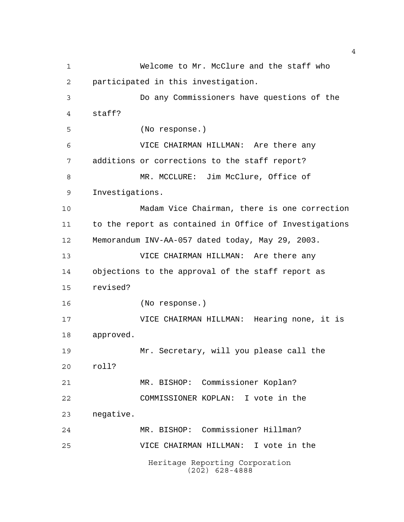Heritage Reporting Corporation (202) 628-4888 Welcome to Mr. McClure and the staff who participated in this investigation. Do any Commissioners have questions of the staff? (No response.) VICE CHAIRMAN HILLMAN: Are there any additions or corrections to the staff report? MR. MCCLURE: Jim McClure, Office of Investigations. Madam Vice Chairman, there is one correction to the report as contained in Office of Investigations Memorandum INV-AA-057 dated today, May 29, 2003. VICE CHAIRMAN HILLMAN: Are there any objections to the approval of the staff report as revised? (No response.) VICE CHAIRMAN HILLMAN: Hearing none, it is approved. Mr. Secretary, will you please call the roll? MR. BISHOP: Commissioner Koplan? COMMISSIONER KOPLAN: I vote in the negative. MR. BISHOP: Commissioner Hillman? VICE CHAIRMAN HILLMAN: I vote in the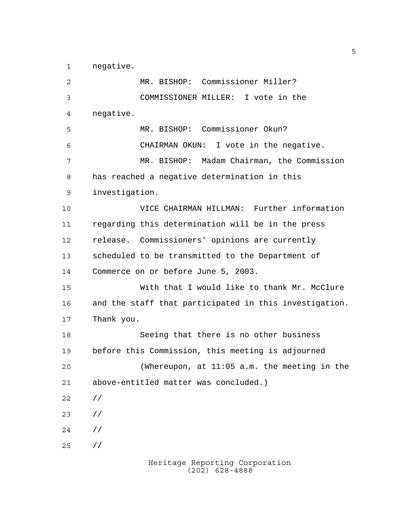negative.

 MR. BISHOP: Commissioner Miller? COMMISSIONER MILLER: I vote in the negative. MR. BISHOP: Commissioner Okun? CHAIRMAN OKUN: I vote in the negative. MR. BISHOP: Madam Chairman, the Commission has reached a negative determination in this investigation. VICE CHAIRMAN HILLMAN: Further information regarding this determination will be in the press release. Commissioners' opinions are currently scheduled to be transmitted to the Department of Commerce on or before June 5, 2003. With that I would like to thank Mr. McClure and the staff that participated in this investigation. Thank you. Seeing that there is no other business before this Commission, this meeting is adjourned (Whereupon, at 11:05 a.m. the meeting in the above-entitled matter was concluded.) // // // //

Heritage Reporting Corporation (202) 628-4888